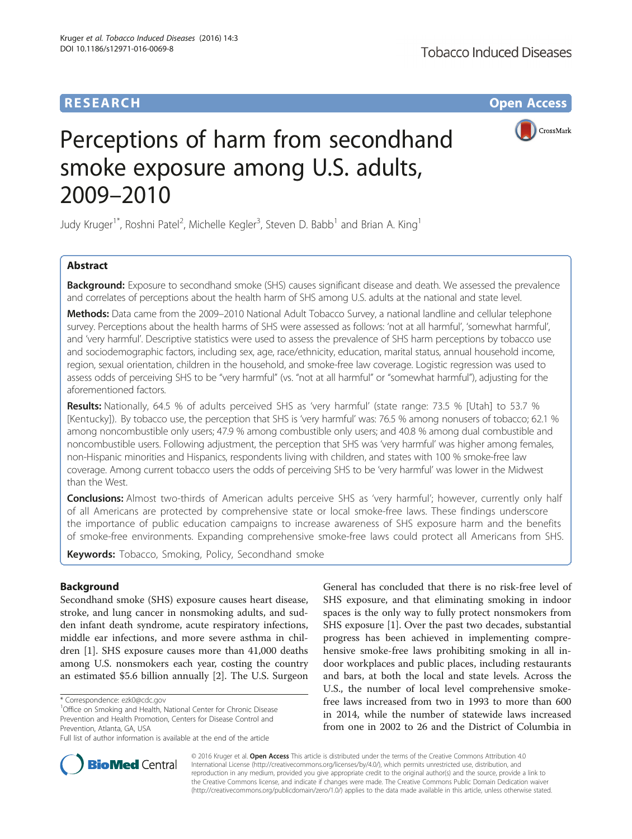## **RESEARCH CHE Open Access**



# Perceptions of harm from secondhand smoke exposure among U.S. adults, 2009–2010

Judy Kruger<sup>1\*</sup>, Roshni Patel<sup>2</sup>, Michelle Kegler<sup>3</sup>, Steven D. Babb<sup>1</sup> and Brian A. King<sup>1</sup>

## Abstract

**Background:** Exposure to secondhand smoke (SHS) causes significant disease and death. We assessed the prevalence and correlates of perceptions about the health harm of SHS among U.S. adults at the national and state level.

Methods: Data came from the 2009–2010 National Adult Tobacco Survey, a national landline and cellular telephone survey. Perceptions about the health harms of SHS were assessed as follows: 'not at all harmful', 'somewhat harmful', and 'very harmful'. Descriptive statistics were used to assess the prevalence of SHS harm perceptions by tobacco use and sociodemographic factors, including sex, age, race/ethnicity, education, marital status, annual household income, region, sexual orientation, children in the household, and smoke-free law coverage. Logistic regression was used to assess odds of perceiving SHS to be "very harmful" (vs. "not at all harmful" or "somewhat harmful"), adjusting for the aforementioned factors.

Results: Nationally, 64.5 % of adults perceived SHS as 'very harmful' (state range: 73.5 % [Utah] to 53.7 % [Kentucky]). By tobacco use, the perception that SHS is 'very harmful' was: 76.5 % among nonusers of tobacco; 62.1 % among noncombustible only users; 47.9 % among combustible only users; and 40.8 % among dual combustible and noncombustible users. Following adjustment, the perception that SHS was 'very harmful' was higher among females, non-Hispanic minorities and Hispanics, respondents living with children, and states with 100 % smoke-free law coverage. Among current tobacco users the odds of perceiving SHS to be 'very harmful' was lower in the Midwest than the West.

Conclusions: Almost two-thirds of American adults perceive SHS as 'very harmful'; however, currently only half of all Americans are protected by comprehensive state or local smoke-free laws. These findings underscore the importance of public education campaigns to increase awareness of SHS exposure harm and the benefits of smoke-free environments. Expanding comprehensive smoke-free laws could protect all Americans from SHS.

Keywords: Tobacco, Smoking, Policy, Secondhand smoke

## Background

Secondhand smoke (SHS) exposure causes heart disease, stroke, and lung cancer in nonsmoking adults, and sudden infant death syndrome, acute respiratory infections, middle ear infections, and more severe asthma in children [\[1](#page-11-0)]. SHS exposure causes more than 41,000 deaths among U.S. nonsmokers each year, costing the country an estimated \$5.6 billion annually [[2\]](#page-11-0). The U.S. Surgeon

<sup>1</sup>Office on Smoking and Health, National Center for Chronic Disease Prevention and Health Promotion, Centers for Disease Control and Prevention, Atlanta, GA, USA

General has concluded that there is no risk-free level of SHS exposure, and that eliminating smoking in indoor spaces is the only way to fully protect nonsmokers from SHS exposure [\[1\]](#page-11-0). Over the past two decades, substantial progress has been achieved in implementing comprehensive smoke-free laws prohibiting smoking in all indoor workplaces and public places, including restaurants and bars, at both the local and state levels. Across the U.S., the number of local level comprehensive smokefree laws increased from two in 1993 to more than 600 in 2014, while the number of statewide laws increased from one in 2002 to 26 and the District of Columbia in



© 2016 Kruger et al. Open Access This article is distributed under the terms of the Creative Commons Attribution 4.0 International License [\(http://creativecommons.org/licenses/by/4.0/](http://creativecommons.org/licenses/by/4.0/)), which permits unrestricted use, distribution, and reproduction in any medium, provided you give appropriate credit to the original author(s) and the source, provide a link to the Creative Commons license, and indicate if changes were made. The Creative Commons Public Domain Dedication waiver [\(http://creativecommons.org/publicdomain/zero/1.0/](http://creativecommons.org/publicdomain/zero/1.0/)) applies to the data made available in this article, unless otherwise stated.

<sup>\*</sup> Correspondence: [ezk0@cdc.gov](mailto:ezk0@cdc.gov) <sup>1</sup>

Full list of author information is available at the end of the article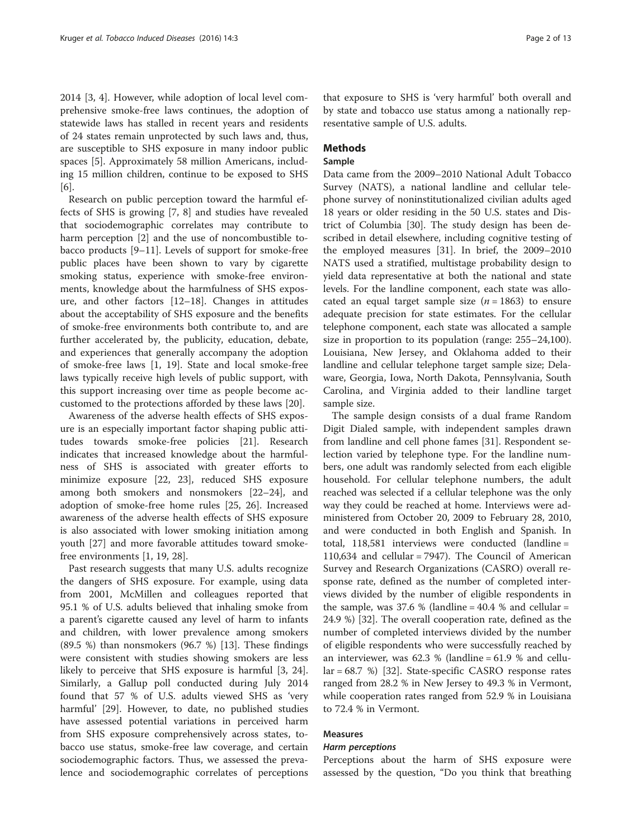2014 [[3, 4](#page-11-0)]. However, while adoption of local level comprehensive smoke-free laws continues, the adoption of statewide laws has stalled in recent years and residents of 24 states remain unprotected by such laws and, thus, are susceptible to SHS exposure in many indoor public spaces [\[5](#page-11-0)]. Approximately 58 million Americans, including 15 million children, continue to be exposed to SHS [[6\]](#page-11-0).

Research on public perception toward the harmful effects of SHS is growing [[7, 8](#page-11-0)] and studies have revealed that sociodemographic correlates may contribute to harm perception [[2\]](#page-11-0) and the use of noncombustible tobacco products [\[9](#page-11-0)–[11\]](#page-11-0). Levels of support for smoke-free public places have been shown to vary by cigarette smoking status, experience with smoke-free environments, knowledge about the harmfulness of SHS exposure, and other factors [[12](#page-11-0)–[18](#page-11-0)]. Changes in attitudes about the acceptability of SHS exposure and the benefits of smoke-free environments both contribute to, and are further accelerated by, the publicity, education, debate, and experiences that generally accompany the adoption of smoke-free laws [[1, 19\]](#page-11-0). State and local smoke-free laws typically receive high levels of public support, with this support increasing over time as people become accustomed to the protections afforded by these laws [\[20\]](#page-11-0).

Awareness of the adverse health effects of SHS exposure is an especially important factor shaping public attitudes towards smoke-free policies [\[21\]](#page-11-0). Research indicates that increased knowledge about the harmfulness of SHS is associated with greater efforts to minimize exposure [[22](#page-11-0), [23](#page-11-0)], reduced SHS exposure among both smokers and nonsmokers [\[22](#page-11-0)–[24\]](#page-11-0), and adoption of smoke-free home rules [\[25, 26\]](#page-11-0). Increased awareness of the adverse health effects of SHS exposure is also associated with lower smoking initiation among youth [\[27\]](#page-12-0) and more favorable attitudes toward smokefree environments [\[1](#page-11-0), [19](#page-11-0), [28\]](#page-12-0).

Past research suggests that many U.S. adults recognize the dangers of SHS exposure. For example, using data from 2001, McMillen and colleagues reported that 95.1 % of U.S. adults believed that inhaling smoke from a parent's cigarette caused any level of harm to infants and children, with lower prevalence among smokers (89.5 %) than nonsmokers (96.7 %) [[13\]](#page-11-0). These findings were consistent with studies showing smokers are less likely to perceive that SHS exposure is harmful [\[3](#page-11-0), [24](#page-11-0)]. Similarly, a Gallup poll conducted during July 2014 found that 57 % of U.S. adults viewed SHS as 'very harmful' [\[29](#page-12-0)]. However, to date, no published studies have assessed potential variations in perceived harm from SHS exposure comprehensively across states, tobacco use status, smoke-free law coverage, and certain sociodemographic factors. Thus, we assessed the prevalence and sociodemographic correlates of perceptions

that exposure to SHS is 'very harmful' both overall and by state and tobacco use status among a nationally representative sample of U.S. adults.

## Methods

## Sample

Data came from the 2009–2010 National Adult Tobacco Survey (NATS), a national landline and cellular telephone survey of noninstitutionalized civilian adults aged 18 years or older residing in the 50 U.S. states and District of Columbia [\[30](#page-12-0)]. The study design has been described in detail elsewhere, including cognitive testing of the employed measures [\[31](#page-12-0)]. In brief, the 2009–2010 NATS used a stratified, multistage probability design to yield data representative at both the national and state levels. For the landline component, each state was allocated an equal target sample size  $(n = 1863)$  to ensure adequate precision for state estimates. For the cellular telephone component, each state was allocated a sample size in proportion to its population (range: 255–24,100). Louisiana, New Jersey, and Oklahoma added to their landline and cellular telephone target sample size; Delaware, Georgia, Iowa, North Dakota, Pennsylvania, South Carolina, and Virginia added to their landline target sample size.

The sample design consists of a dual frame Random Digit Dialed sample, with independent samples drawn from landline and cell phone fames [\[31\]](#page-12-0). Respondent selection varied by telephone type. For the landline numbers, one adult was randomly selected from each eligible household. For cellular telephone numbers, the adult reached was selected if a cellular telephone was the only way they could be reached at home. Interviews were administered from October 20, 2009 to February 28, 2010, and were conducted in both English and Spanish. In total, 118,581 interviews were conducted (landline = 110,634 and cellular = 7947). The Council of American Survey and Research Organizations (CASRO) overall response rate, defined as the number of completed interviews divided by the number of eligible respondents in the sample, was 37.6 % (landline =  $40.4$  % and cellular = 24.9 %) [[32\]](#page-12-0). The overall cooperation rate, defined as the number of completed interviews divided by the number of eligible respondents who were successfully reached by an interviewer, was  $62.3 %$  (landline =  $61.9 %$  and cellular = 68.7 %) [[32\]](#page-12-0). State-specific CASRO response rates ranged from 28.2 % in New Jersey to 49.3 % in Vermont, while cooperation rates ranged from 52.9 % in Louisiana to 72.4 % in Vermont.

## Measures

### Harm perceptions

Perceptions about the harm of SHS exposure were assessed by the question, "Do you think that breathing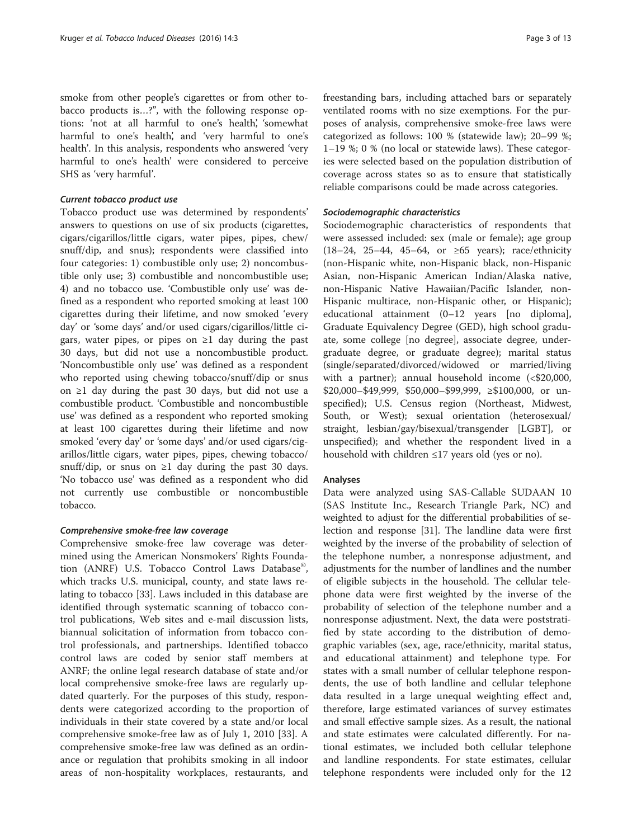smoke from other people's cigarettes or from other tobacco products is…?", with the following response options: 'not at all harmful to one's health', 'somewhat harmful to one's health', and 'very harmful to one's health'. In this analysis, respondents who answered 'very harmful to one's health' were considered to perceive SHS as 'very harmful'.

#### Current tobacco product use

Tobacco product use was determined by respondents' answers to questions on use of six products (cigarettes, cigars/cigarillos/little cigars, water pipes, pipes, chew/ snuff/dip, and snus); respondents were classified into four categories: 1) combustible only use; 2) noncombustible only use; 3) combustible and noncombustible use; 4) and no tobacco use. 'Combustible only use' was defined as a respondent who reported smoking at least 100 cigarettes during their lifetime, and now smoked 'every day' or 'some days' and/or used cigars/cigarillos/little cigars, water pipes, or pipes on  $\geq 1$  day during the past 30 days, but did not use a noncombustible product. 'Noncombustible only use' was defined as a respondent who reported using chewing tobacco/snuff/dip or snus on ≥1 day during the past 30 days, but did not use a combustible product. 'Combustible and noncombustible use' was defined as a respondent who reported smoking at least 100 cigarettes during their lifetime and now smoked 'every day' or 'some days' and/or used cigars/cigarillos/little cigars, water pipes, pipes, chewing tobacco/ snuff/dip, or snus on  $\geq 1$  day during the past 30 days. 'No tobacco use' was defined as a respondent who did not currently use combustible or noncombustible tobacco.

## Comprehensive smoke-free law coverage

Comprehensive smoke-free law coverage was determined using the American Nonsmokers' Rights Foundation (ANRF) U.S. Tobacco Control Laws Database©, which tracks U.S. municipal, county, and state laws relating to tobacco [[33](#page-12-0)]. Laws included in this database are identified through systematic scanning of tobacco control publications, Web sites and e-mail discussion lists, biannual solicitation of information from tobacco control professionals, and partnerships. Identified tobacco control laws are coded by senior staff members at ANRF; the online legal research database of state and/or local comprehensive smoke-free laws are regularly updated quarterly. For the purposes of this study, respondents were categorized according to the proportion of individuals in their state covered by a state and/or local comprehensive smoke-free law as of July 1, 2010 [\[33\]](#page-12-0). A comprehensive smoke-free law was defined as an ordinance or regulation that prohibits smoking in all indoor areas of non-hospitality workplaces, restaurants, and

freestanding bars, including attached bars or separately ventilated rooms with no size exemptions. For the purposes of analysis, comprehensive smoke-free laws were categorized as follows: 100 % (statewide law); 20–99 %; 1–19 %; 0 % (no local or statewide laws). These categories were selected based on the population distribution of coverage across states so as to ensure that statistically reliable comparisons could be made across categories.

## Sociodemographic characteristics

Sociodemographic characteristics of respondents that were assessed included: sex (male or female); age group (18–24, 25–44, 45–64, or ≥65 years); race/ethnicity (non-Hispanic white, non-Hispanic black, non-Hispanic Asian, non-Hispanic American Indian/Alaska native, non-Hispanic Native Hawaiian/Pacific Islander, non-Hispanic multirace, non-Hispanic other, or Hispanic); educational attainment (0–12 years [no diploma], Graduate Equivalency Degree (GED), high school graduate, some college [no degree], associate degree, undergraduate degree, or graduate degree); marital status (single/separated/divorced/widowed or married/living with a partner); annual household income (<\$20,000, \$20,000–\$49,999, \$50,000–\$99,999, ≥\$100,000, or unspecified); U.S. Census region (Northeast, Midwest, South, or West); sexual orientation (heterosexual/ straight, lesbian/gay/bisexual/transgender [LGBT], or unspecified); and whether the respondent lived in a household with children ≤17 years old (yes or no).

#### Analyses

Data were analyzed using SAS-Callable SUDAAN 10 (SAS Institute Inc., Research Triangle Park, NC) and weighted to adjust for the differential probabilities of selection and response [[31\]](#page-12-0). The landline data were first weighted by the inverse of the probability of selection of the telephone number, a nonresponse adjustment, and adjustments for the number of landlines and the number of eligible subjects in the household. The cellular telephone data were first weighted by the inverse of the probability of selection of the telephone number and a nonresponse adjustment. Next, the data were poststratified by state according to the distribution of demographic variables (sex, age, race/ethnicity, marital status, and educational attainment) and telephone type. For states with a small number of cellular telephone respondents, the use of both landline and cellular telephone data resulted in a large unequal weighting effect and, therefore, large estimated variances of survey estimates and small effective sample sizes. As a result, the national and state estimates were calculated differently. For national estimates, we included both cellular telephone and landline respondents. For state estimates, cellular telephone respondents were included only for the 12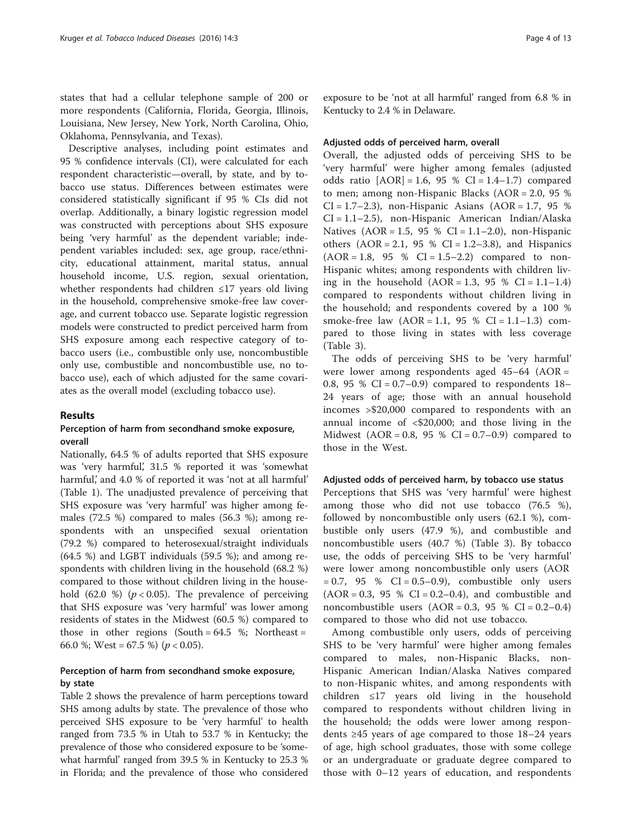states that had a cellular telephone sample of 200 or more respondents (California, Florida, Georgia, Illinois, Louisiana, New Jersey, New York, North Carolina, Ohio, Oklahoma, Pennsylvania, and Texas).

Descriptive analyses, including point estimates and 95 % confidence intervals (CI), were calculated for each respondent characteristic—overall, by state, and by tobacco use status. Differences between estimates were considered statistically significant if 95 % CIs did not overlap. Additionally, a binary logistic regression model was constructed with perceptions about SHS exposure being 'very harmful' as the dependent variable; independent variables included: sex, age group, race/ethnicity, educational attainment, marital status, annual household income, U.S. region, sexual orientation, whether respondents had children ≤17 years old living in the household, comprehensive smoke-free law coverage, and current tobacco use. Separate logistic regression models were constructed to predict perceived harm from SHS exposure among each respective category of tobacco users (i.e., combustible only use, noncombustible only use, combustible and noncombustible use, no tobacco use), each of which adjusted for the same covariates as the overall model (excluding tobacco use).

## Results

## Perception of harm from secondhand smoke exposure, overall

Nationally, 64.5 % of adults reported that SHS exposure was 'very harmful', 31.5 % reported it was 'somewhat harmful, and 4.0 % of reported it was 'not at all harmful' (Table [1\)](#page-4-0). The unadjusted prevalence of perceiving that SHS exposure was 'very harmful' was higher among females (72.5 %) compared to males (56.3 %); among respondents with an unspecified sexual orientation (79.2 %) compared to heterosexual/straight individuals (64.5 %) and LGBT individuals (59.5 %); and among respondents with children living in the household (68.2 %) compared to those without children living in the household (62.0 %) ( $p < 0.05$ ). The prevalence of perceiving that SHS exposure was 'very harmful' was lower among residents of states in the Midwest (60.5 %) compared to those in other regions (South =  $64.5$  %; Northeast = 66.0 %; West = 67.5 %) ( $p < 0.05$ ).

## Perception of harm from secondhand smoke exposure, by state

Table [2](#page-6-0) shows the prevalence of harm perceptions toward SHS among adults by state. The prevalence of those who perceived SHS exposure to be 'very harmful' to health ranged from 73.5 % in Utah to 53.7 % in Kentucky; the prevalence of those who considered exposure to be 'somewhat harmful' ranged from 39.5 % in Kentucky to 25.3 % in Florida; and the prevalence of those who considered

exposure to be 'not at all harmful' ranged from 6.8 % in Kentucky to 2.4 % in Delaware.

## Adjusted odds of perceived harm, overall

Overall, the adjusted odds of perceiving SHS to be 'very harmful' were higher among females (adjusted odds ratio  $[AOR] = 1.6$ , 95 % CI = 1.4–1.7) compared to men; among non-Hispanic Blacks (AOR = 2.0, 95 %  $CI = 1.7-2.3$ ), non-Hispanic Asians  $(AOR = 1.7, 95 %$ CI = 1.1–2.5), non-Hispanic American Indian/Alaska Natives  $(AOR = 1.5, 95 % CI = 1.1–2.0)$ , non-Hispanic others  $(AOR = 2.1, 95 % CI = 1.2–3.8)$ , and Hispanics  $(AOR = 1.8, 95 % CI = 1.5-2.2)$  compared to non-Hispanic whites; among respondents with children living in the household  $(AOR = 1.3, 95 % CI = 1.1-1.4)$ compared to respondents without children living in the household; and respondents covered by a 100 % smoke-free law  $(AOR = 1.1, 95 % CI = 1.1 - 1.3)$  compared to those living in states with less coverage (Table [3\)](#page-8-0).

The odds of perceiving SHS to be 'very harmful' were lower among respondents aged 45–64 (AOR = 0.8, 95 % CI =  $0.7-0.9$  compared to respondents 18– 24 years of age; those with an annual household incomes >\$20,000 compared to respondents with an annual income of <\$20,000; and those living in the Midwest (AOR = 0.8, 95 % CI = 0.7–0.9) compared to those in the West.

## Adjusted odds of perceived harm, by tobacco use status

Perceptions that SHS was 'very harmful' were highest among those who did not use tobacco (76.5 %), followed by noncombustible only users (62.1 %), combustible only users (47.9 %), and combustible and noncombustible users (40.7 %) (Table [3](#page-8-0)). By tobacco use, the odds of perceiving SHS to be 'very harmful' were lower among noncombustible only users (AOR  $= 0.7$ , 95 % CI  $= 0.5 - 0.9$ ), combustible only users  $(AOR = 0.3, 95 % CI = 0.2–0.4)$ , and combustible and noncombustible users  $(AOR = 0.3, 95 % CI = 0.2-0.4)$ compared to those who did not use tobacco.

Among combustible only users, odds of perceiving SHS to be 'very harmful' were higher among females compared to males, non-Hispanic Blacks, non-Hispanic American Indian/Alaska Natives compared to non-Hispanic whites, and among respondents with children ≤17 years old living in the household compared to respondents without children living in the household; the odds were lower among respondents ≥45 years of age compared to those 18–24 years of age, high school graduates, those with some college or an undergraduate or graduate degree compared to those with 0–12 years of education, and respondents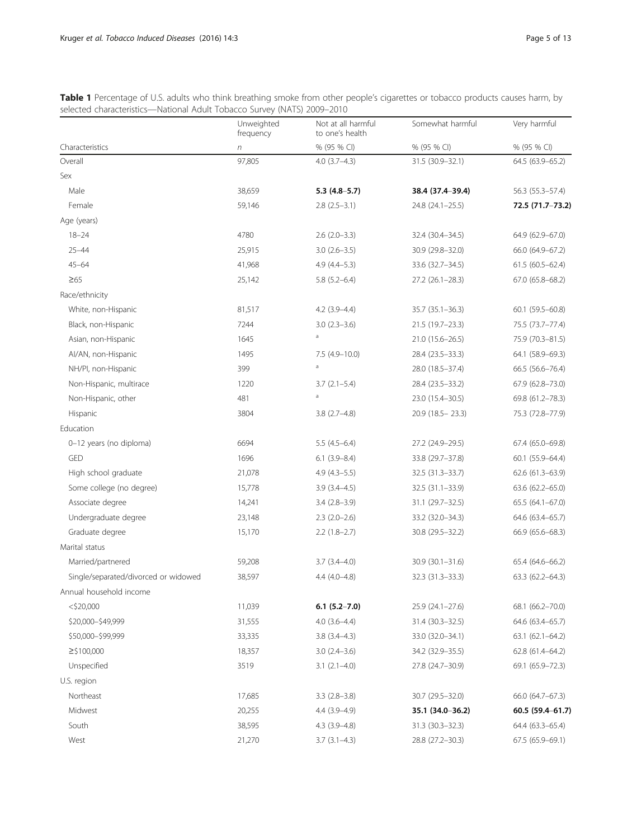|                                      | Unweighted<br>frequency | Not at all harmful<br>to one's health | Somewhat harmful   | Very harmful         |
|--------------------------------------|-------------------------|---------------------------------------|--------------------|----------------------|
| Characteristics                      | $\sqrt{n}$              | % (95 % CI)                           | % (95 % CI)        | % (95 % CI)          |
| Overall                              | 97,805                  | $4.0(3.7-4.3)$                        | 31.5 (30.9-32.1)   | 64.5 (63.9-65.2)     |
| Sex                                  |                         |                                       |                    |                      |
| Male                                 | 38,659                  | $5.3(4.8-5.7)$                        | 38.4 (37.4-39.4)   | 56.3 (55.3-57.4)     |
| Female                               | 59,146                  | $2.8$ ( $2.5 - 3.1$ )                 | 24.8 (24.1-25.5)   | 72.5 (71.7-73.2)     |
| Age (years)                          |                         |                                       |                    |                      |
| $18 - 24$                            | 4780                    | $2.6$ ( $2.0 - 3.3$ )                 | 32.4 (30.4-34.5)   | 64.9 (62.9-67.0)     |
| $25 - 44$                            | 25,915                  | $3.0(2.6-3.5)$                        | 30.9 (29.8-32.0)   | 66.0 (64.9-67.2)     |
| $45 - 64$                            | 41,968                  | $4.9(4.4-5.3)$                        | 33.6 (32.7-34.5)   | $61.5(60.5 - 62.4)$  |
| $\geq 65$                            | 25,142                  | $5.8(5.2 - 6.4)$                      | 27.2 (26.1-28.3)   | $67.0(65.8 - 68.2)$  |
| Race/ethnicity                       |                         |                                       |                    |                      |
| White, non-Hispanic                  | 81,517                  | $4.2$ (3.9–4.4)                       | 35.7 (35.1-36.3)   | 60.1 (59.5-60.8)     |
| Black, non-Hispanic                  | 7244                    | $3.0(2.3-3.6)$                        | 21.5 (19.7-23.3)   | 75.5 (73.7-77.4)     |
| Asian, non-Hispanic                  | 1645                    | $\rm a$                               | 21.0 (15.6-26.5)   | 75.9 (70.3-81.5)     |
| Al/AN, non-Hispanic                  | 1495                    | $7.5(4.9-10.0)$                       | 28.4 (23.5-33.3)   | 64.1 (58.9-69.3)     |
| NH/Pl, non-Hispanic                  | 399                     | $\mathsf a$                           | 28.0 (18.5-37.4)   | 66.5 (56.6-76.4)     |
| Non-Hispanic, multirace              | 1220                    | $3.7(2.1 - 5.4)$                      | 28.4 (23.5-33.2)   | 67.9 (62.8-73.0)     |
| Non-Hispanic, other                  | 481                     | $\mathsf a$                           | 23.0 (15.4-30.5)   | 69.8 (61.2-78.3)     |
| Hispanic                             | 3804                    | $3.8(2.7-4.8)$                        | 20.9 (18.5 - 23.3) | 75.3 (72.8-77.9)     |
| Education                            |                         |                                       |                    |                      |
| 0-12 years (no diploma)              | 6694                    | $5.5(4.5-6.4)$                        | 27.2 (24.9-29.5)   | 67.4 (65.0-69.8)     |
| <b>GED</b>                           | 1696                    | $6.1(3.9 - 8.4)$                      | 33.8 (29.7-37.8)   | 60.1 (55.9-64.4)     |
| High school graduate                 | 21,078                  | $4.9$ (4.3-5.5)                       | 32.5 (31.3-33.7)   | 62.6 (61.3-63.9)     |
| Some college (no degree)             | 15,778                  | $3.9(3.4 - 4.5)$                      | 32.5 (31.1-33.9)   | 63.6 (62.2-65.0)     |
| Associate degree                     | 14,241                  | $3.4(2.8-3.9)$                        | 31.1 (29.7-32.5)   | 65.5 (64.1-67.0)     |
| Undergraduate degree                 | 23,148                  | $2.3$ $(2.0-2.6)$                     | 33.2 (32.0-34.3)   | 64.6 (63.4-65.7)     |
| Graduate degree                      | 15,170                  | $2.2(1.8-2.7)$                        | 30.8 (29.5-32.2)   | 66.9 (65.6-68.3)     |
| Marital status                       |                         |                                       |                    |                      |
| Married/partnered                    | 59,208                  | $3.7(3.4 - 4.0)$                      | 30.9 (30.1-31.6)   | 65.4 (64.6-66.2)     |
| Single/separated/divorced or widowed | 38,597                  | $4.4(4.0-4.8)$                        | 32.3 (31.3-33.3)   | 63.3 (62.2-64.3)     |
| Annual household income              |                         |                                       |                    |                      |
| $<$ \$20,000                         | 11,039                  | $6.1(5.2 - 7.0)$                      | $25.9(24.1-27.6)$  | 68.1 (66.2-70.0)     |
| \$20,000-\$49,999                    | 31,555                  | $4.0$ $(3.6 - 4.4)$                   | 31.4 (30.3-32.5)   | 64.6 (63.4–65.7)     |
| \$50,000-\$99,999                    | 33,335                  | $3.8(3.4 - 4.3)$                      | 33.0 (32.0-34.1)   | $63.1 (62.1 - 64.2)$ |
| $\geq$ \$100,000                     | 18,357                  | $3.0(2.4-3.6)$                        | 34.2 (32.9–35.5)   | 62.8 (61.4–64.2)     |
| Unspecified                          | 3519                    | $3.1(2.1-4.0)$                        | 27.8 (24.7–30.9)   | 69.1 (65.9–72.3)     |
| U.S. region                          |                         |                                       |                    |                      |
| Northeast                            | 17,685                  | $3.3$ $(2.8-3.8)$                     | 30.7 (29.5-32.0)   | 66.0 (64.7-67.3)     |
| Midwest                              | 20,255                  | $4.4(3.9-4.9)$                        | 35.1 (34.0–36.2)   | $60.5(59.4 - 61.7)$  |
| South                                | 38,595                  | $4.3$ $(3.9-4.8)$                     | 31.3 (30.3-32.3)   | 64.4 (63.3-65.4)     |
| West                                 | 21,270                  | $3.7(3.1-4.3)$                        | 28.8 (27.2-30.3)   | 67.5 (65.9-69.1)     |

<span id="page-4-0"></span>

| Table 1 Percentage of U.S. adults who think breathing smoke from other people's cigarettes or tobacco products causes harm, by |  |
|--------------------------------------------------------------------------------------------------------------------------------|--|
| selected characteristics—National Adult Tobacco Survey (NATS) 2009-2010                                                        |  |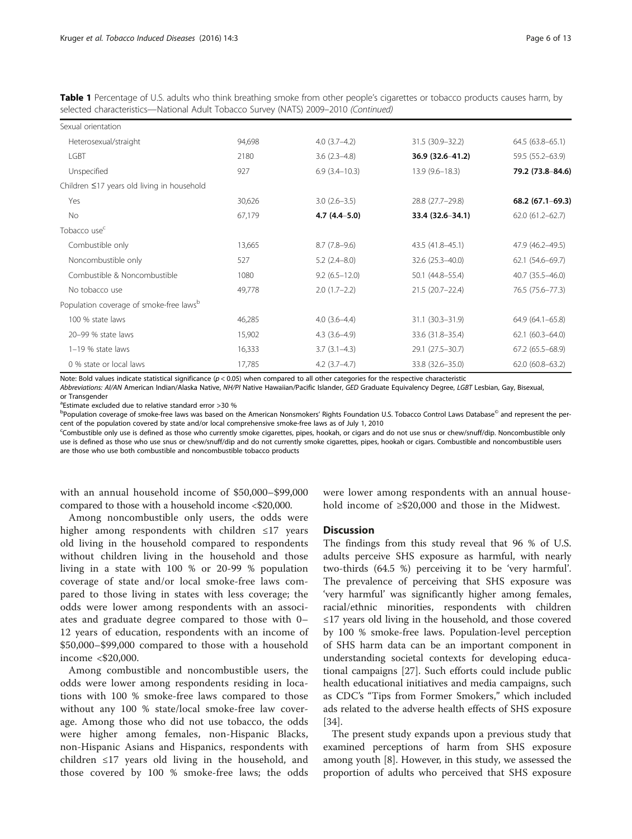Table 1 Percentage of U.S. adults who think breathing smoke from other people's cigarettes or tobacco products causes harm, by selected characteristics—National Adult Tobacco Survey (NATS) 2009–2010 (Continued)

| Sexual orientation                                  |        |                   |                     |                     |
|-----------------------------------------------------|--------|-------------------|---------------------|---------------------|
| Heterosexual/straight                               | 94,698 | $4.0(3.7-4.2)$    | 31.5 (30.9-32.2)    | $64.5(63.8-65.1)$   |
| LGBT                                                | 2180   | $3.6(2.3-4.8)$    | 36.9 (32.6-41.2)    | 59.5 (55.2–63.9)    |
| Unspecified                                         | 927    | $6.9(3.4-10.3)$   | $13.9(9.6 - 18.3)$  | 79.2 (73.8-84.6)    |
| Children ≤17 years old living in household          |        |                   |                     |                     |
| Yes                                                 | 30,626 | $3.0(2.6-3.5)$    | 28.8 (27.7-29.8)    | 68.2 (67.1-69.3)    |
| No                                                  | 67,179 | $4.7(4.4-5.0)$    | 33.4 (32.6–34.1)    | $62.0(61.2 - 62.7)$ |
| Tobacco use <sup>c</sup>                            |        |                   |                     |                     |
| Combustible only                                    | 13,665 | $8.7(7.8-9.6)$    | 43.5 (41.8-45.1)    | 47.9 (46.2-49.5)    |
| Noncombustible only                                 | 527    | $5.2$ $(2.4-8.0)$ | 32.6 (25.3-40.0)    | $62.1(54.6 - 69.7)$ |
| Combustible & Noncombustible                        | 1080   | $9.2(6.5 - 12.0)$ | 50.1 (44.8-55.4)    | 40.7 (35.5-46.0)    |
| No tobacco use                                      | 49,778 | $2.0(1.7-2.2)$    | $21.5(20.7 - 22.4)$ | 76.5 (75.6–77.3)    |
| Population coverage of smoke-free laws <sup>b</sup> |        |                   |                     |                     |
| 100 % state laws                                    | 46,285 | $4.0(3.6-4.4)$    | $31.1(30.3 - 31.9)$ | $64.9(64.1 - 65.8)$ |
| 20-99 % state laws                                  | 15,902 | $4.3(3.6-4.9)$    | 33.6 (31.8-35.4)    | $62.1(60.3 - 64.0)$ |
| 1-19 % state laws                                   | 16,333 | $3.7(3.1-4.3)$    | 29.1 (27.5 - 30.7)  | $67.2(65.5 - 68.9)$ |
| 0 % state or local laws                             | 17,785 | $4.2$ $(3.7-4.7)$ | 33.8 (32.6-35.0)    | $62.0(60.8-63.2)$   |

Note: Bold values indicate statistical significance ( $p < 0.05$ ) when compared to all other categories for the respective characteristic

Abbreviations: AI/AN American Indian/Alaska Native, NH/PI Native Hawaiian/Pacific Islander, GED Graduate Equivalency Degree, LGBT Lesbian, Gay, Bisexual, or Transgender

a Estimate excluded due to relative standard error >30 %

bPopulation coverage of smoke-free laws was based on the American Nonsmokers' Rights Foundation U.S. Tobacco Control Laws Database® and represent the percent of the population covered by state and/or local comprehensive smoke-free laws as of July 1, 2010

c Combustible only use is defined as those who currently smoke cigarettes, pipes, hookah, or cigars and do not use snus or chew/snuff/dip. Noncombustible only use is defined as those who use snus or chew/snuff/dip and do not currently smoke cigarettes, pipes, hookah or cigars. Combustible and noncombustible users are those who use both combustible and noncombustible tobacco products

with an annual household income of \$50,000–\$99,000 compared to those with a household income <\$20,000.

Among noncombustible only users, the odds were higher among respondents with children ≤17 years old living in the household compared to respondents without children living in the household and those living in a state with 100 % or 20-99 % population coverage of state and/or local smoke-free laws compared to those living in states with less coverage; the odds were lower among respondents with an associates and graduate degree compared to those with 0– 12 years of education, respondents with an income of \$50,000–\$99,000 compared to those with a household income <\$20,000.

Among combustible and noncombustible users, the odds were lower among respondents residing in locations with 100 % smoke-free laws compared to those without any 100 % state/local smoke-free law coverage. Among those who did not use tobacco, the odds were higher among females, non-Hispanic Blacks, non-Hispanic Asians and Hispanics, respondents with children ≤17 years old living in the household, and those covered by 100 % smoke-free laws; the odds

were lower among respondents with an annual household income of ≥\$20,000 and those in the Midwest.

#### **Discussion**

The findings from this study reveal that 96 % of U.S. adults perceive SHS exposure as harmful, with nearly two-thirds (64.5 %) perceiving it to be 'very harmful'. The prevalence of perceiving that SHS exposure was 'very harmful' was significantly higher among females, racial/ethnic minorities, respondents with children ≤17 years old living in the household, and those covered by 100 % smoke-free laws. Population-level perception of SHS harm data can be an important component in understanding societal contexts for developing educational campaigns [\[27](#page-12-0)]. Such efforts could include public health educational initiatives and media campaigns, such as CDC's "Tips from Former Smokers," which included ads related to the adverse health effects of SHS exposure [[34\]](#page-12-0).

The present study expands upon a previous study that examined perceptions of harm from SHS exposure among youth [[8\]](#page-11-0). However, in this study, we assessed the proportion of adults who perceived that SHS exposure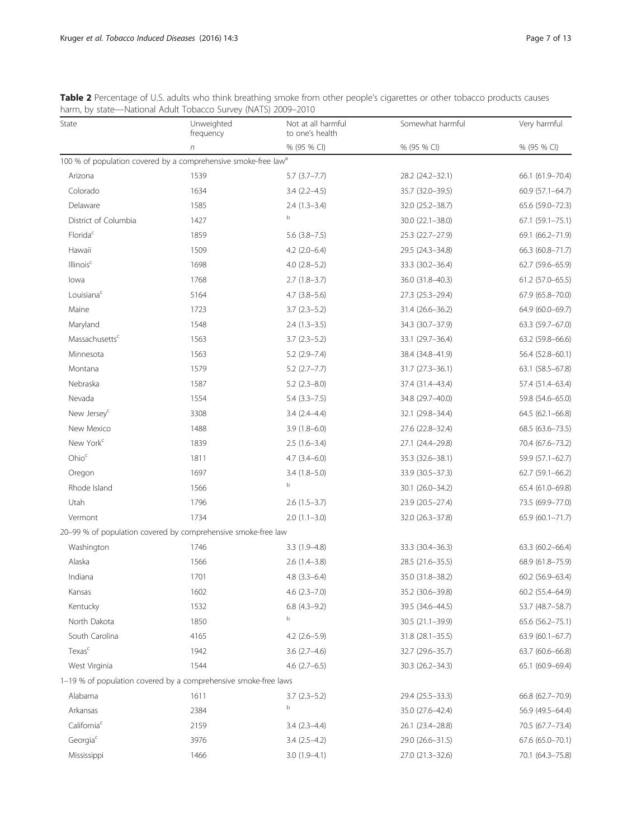<span id="page-6-0"></span>

| Table 2 Percentage of U.S. adults who think breathing smoke from other people's cigarettes or other tobacco products causes |  |  |  |
|-----------------------------------------------------------------------------------------------------------------------------|--|--|--|
| harm, by state—National Adult Tobacco Survey (NATS) 2009-2010                                                               |  |  |  |

| State                                                                      | Unweighted<br>frequency | Not at all harmful<br>to one's health | Somewhat harmful    | Very harmful        |
|----------------------------------------------------------------------------|-------------------------|---------------------------------------|---------------------|---------------------|
|                                                                            | n                       | % (95 % CI)                           | % (95 % CI)         | % (95 % CI)         |
| 100 % of population covered by a comprehensive smoke-free law <sup>a</sup> |                         |                                       |                     |                     |
| Arizona                                                                    | 1539                    | $5.7(3.7 - 7.7)$                      | 28.2 (24.2-32.1)    | 66.1 (61.9-70.4)    |
| Colorado                                                                   | 1634                    | $3.4(2.2 - 4.5)$                      | 35.7 (32.0-39.5)    | 60.9 (57.1-64.7)    |
| Delaware                                                                   | 1585                    | $2.4(1.3-3.4)$                        | 32.0 (25.2-38.7)    | 65.6 (59.0-72.3)    |
| District of Columbia                                                       | 1427                    | b                                     | 30.0 (22.1-38.0)    | 67.1 (59.1-75.1)    |
| Florida <sup>c</sup>                                                       | 1859                    | $5.6(3.8-7.5)$                        | 25.3 (22.7-27.9)    | 69.1 (66.2-71.9)    |
| Hawaii                                                                     | 1509                    | $4.2$ (2.0-6.4)                       | 29.5 (24.3-34.8)    | 66.3 (60.8-71.7)    |
| <b>Illinois<sup>c</sup></b>                                                | 1698                    | $4.0(2.8-5.2)$                        | 33.3 (30.2-36.4)    | 62.7 (59.6-65.9)    |
| lowa                                                                       | 1768                    | $2.7(1.8-3.7)$                        | 36.0 (31.8-40.3)    | 61.2 (57.0-65.5)    |
| Louisiana <sup>c</sup>                                                     | 5164                    | $4.7$ (3.8-5.6)                       | 27.3 (25.3-29.4)    | 67.9 (65.8-70.0)    |
| Maine                                                                      | 1723                    | $3.7(2.3-5.2)$                        | 31.4 (26.6-36.2)    | 64.9 (60.0-69.7)    |
| Maryland                                                                   | 1548                    | $2.4(1.3-3.5)$                        | 34.3 (30.7-37.9)    | 63.3 (59.7-67.0)    |
| Massachusetts <sup>c</sup>                                                 | 1563                    | $3.7(2.3-5.2)$                        | 33.1 (29.7-36.4)    | 63.2 (59.8-66.6)    |
| Minnesota                                                                  | 1563                    | $5.2$ (2.9-7.4)                       | 38.4 (34.8-41.9)    | 56.4 (52.8-60.1)    |
| Montana                                                                    | 1579                    | $5.2$ (2.7-7.7)                       | 31.7 (27.3-36.1)    | 63.1 (58.5-67.8)    |
| Nebraska                                                                   | 1587                    | $5.2$ (2.3-8.0)                       | 37.4 (31.4-43.4)    | 57.4 (51.4-63.4)    |
| Nevada                                                                     | 1554                    | $5.4(3.3-7.5)$                        | 34.8 (29.7-40.0)    | 59.8 (54.6-65.0)    |
| New Jersey <sup>c</sup>                                                    | 3308                    | $3.4(2.4 - 4.4)$                      | 32.1 (29.8-34.4)    | $64.5(62.1 - 66.8)$ |
| New Mexico                                                                 | 1488                    | $3.9(1.8-6.0)$                        | 27.6 (22.8-32.4)    | 68.5 (63.6-73.5)    |
| New York <sup>c</sup>                                                      | 1839                    | $2.5(1.6-3.4)$                        | 27.1 (24.4-29.8)    | 70.4 (67.6-73.2)    |
| Ohio <sup>c</sup>                                                          | 1811                    | $4.7(3.4 - 6.0)$                      | 35.3 (32.6-38.1)    | 59.9 (57.1-62.7)    |
| Oregon                                                                     | 1697                    | $3.4(1.8-5.0)$                        | 33.9 (30.5-37.3)    | 62.7 (59.1-66.2)    |
| Rhode Island                                                               | 1566                    | b                                     | 30.1 (26.0-34.2)    | 65.4 (61.0-69.8)    |
| Utah                                                                       | 1796                    | $2.6(1.5-3.7)$                        | 23.9 (20.5-27.4)    | 73.5 (69.9-77.0)    |
| Vermont                                                                    | 1734                    | $2.0(1.1 - 3.0)$                      | 32.0 (26.3-37.8)    | 65.9 (60.1-71.7)    |
| 20-99 % of population covered by comprehensive smoke-free law              |                         |                                       |                     |                     |
| Washington                                                                 | 1746                    | $3.3(1.9-4.8)$                        | 33.3 (30.4-36.3)    | 63.3 (60.2-66.4)    |
| Alaska                                                                     | 1566                    | $2.6(1.4-3.8)$                        | 28.5 (21.6-35.5)    | 68.9 (61.8-75.9)    |
| Indiana                                                                    | 1701                    | $4.8(3.3 - 6.4)$                      | 35.0 (31.8-38.2)    | 60.2 (56.9-63.4)    |
| Kansas                                                                     | 1602                    | $4.6$ (2.3-7.0)                       | 35.2 (30.6-39.8)    | 60.2 (55.4-64.9)    |
| Kentucky                                                                   | 1532                    | $6.8$ (4.3-9.2)                       | 39.5 (34.6-44.5)    | 53.7 (48.7-58.7)    |
| North Dakota                                                               | 1850                    | b                                     | 30.5 (21.1-39.9)    | 65.6 (56.2-75.1)    |
| South Carolina                                                             | 4165                    | $4.2$ (2.6-5.9)                       | $31.8(28.1 - 35.5)$ | $63.9(60.1 - 67.7)$ |
| Texas <sup>c</sup>                                                         | 1942                    | $3.6(2.7-4.6)$                        | 32.7 (29.6-35.7)    | 63.7 (60.6-66.8)    |
| West Virginia                                                              | 1544                    | $4.6(2.7-6.5)$                        | $30.3(26.2 - 34.3)$ | 65.1 (60.9-69.4)    |
| 1-19 % of population covered by a comprehensive smoke-free laws            |                         |                                       |                     |                     |
| Alabama                                                                    | 1611                    | $3.7(2.3-5.2)$                        | 29.4 (25.5-33.3)    | 66.8 (62.7-70.9)    |
| Arkansas                                                                   | 2384                    | b                                     | 35.0 (27.6-42.4)    | 56.9 (49.5-64.4)    |
| California <sup>c</sup>                                                    | 2159                    | $3.4(2.3-4.4)$                        | 26.1 (23.4-28.8)    | 70.5 (67.7-73.4)    |
| Georgia <sup>c</sup>                                                       | 3976                    | $3.4(2.5-4.2)$                        | 29.0 (26.6-31.5)    | 67.6 (65.0-70.1)    |
| Mississippi                                                                | 1466                    | $3.0(1.9-4.1)$                        | 27.0 (21.3-32.6)    | 70.1 (64.3-75.8)    |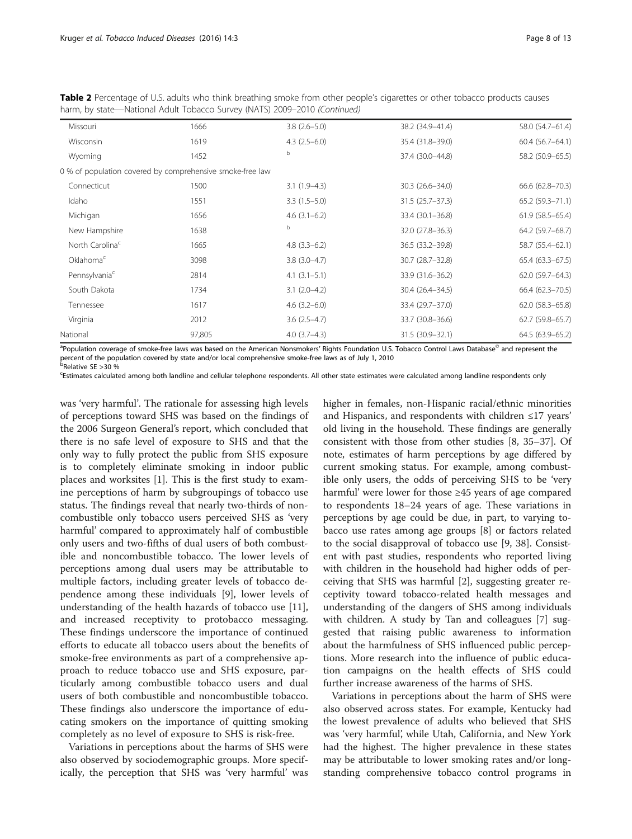Table 2 Percentage of U.S. adults who think breathing smoke from other people's cigarettes or other tobacco products causes harm, by state—National Adult Tobacco Survey (NATS) 2009–2010 (Continued)

| Missouri                                                  | 1666   | $3.8(2.6 - 5.0)$ | 38.2 (34.9-41.4)                                                                                                                                | 58.0 (54.7-61.4)   |
|-----------------------------------------------------------|--------|------------------|-------------------------------------------------------------------------------------------------------------------------------------------------|--------------------|
| Wisconsin                                                 | 1619   | $4.3(2.5-6.0)$   | 35.4 (31.8-39.0)                                                                                                                                | 60.4 (56.7-64.1)   |
| Wyoming                                                   | 1452   | b                | 37.4 (30.0-44.8)                                                                                                                                | 58.2 (50.9-65.5)   |
| 0 % of population covered by comprehensive smoke-free law |        |                  |                                                                                                                                                 |                    |
| Connecticut                                               | 1500   | $3.1(1.9-4.3)$   | $30.3(26.6 - 34.0)$                                                                                                                             | 66.6 (62.8-70.3)   |
| Idaho                                                     | 1551   | $3.3(1.5-5.0)$   | $31.5(25.7 - 37.3)$                                                                                                                             | 65.2 (59.3-71.1)   |
| Michigan                                                  | 1656   | $4.6(3.1-6.2)$   | 33.4 (30.1-36.8)                                                                                                                                | 61.9 (58.5-65.4)   |
| New Hampshire                                             | 1638   | b                | 32.0 (27.8-36.3)                                                                                                                                | 64.2 (59.7-68.7)   |
| North Carolina <sup>c</sup>                               | 1665   | $4.8(3.3-6.2)$   | 36.5 (33.2-39.8)                                                                                                                                | 58.7 (55.4-62.1)   |
| Oklahoma <sup>c</sup>                                     | 3098   | $3.8(3.0-4.7)$   | 30.7 (28.7-32.8)                                                                                                                                | 65.4 (63.3-67.5)   |
| Pennsylvania <sup>c</sup>                                 | 2814   | $4.1(3.1-5.1)$   | 33.9 (31.6-36.2)                                                                                                                                | 62.0 (59.7-64.3)   |
| South Dakota                                              | 1734   | $3.1(2.0-4.2)$   | 30.4 (26.4–34.5)                                                                                                                                | 66.4 (62.3 - 70.5) |
| Tennessee                                                 | 1617   | $4.6(3.2 - 6.0)$ | 33.4 (29.7-37.0)                                                                                                                                | 62.0 (58.3-65.8)   |
| Virginia                                                  | 2012   | $3.6(2.5-4.7)$   | 33.7 (30.8-36.6)                                                                                                                                | 62.7 (59.8-65.7)   |
| National                                                  | 97,805 | $4.0(3.7-4.3)$   | 31.5 (30.9-32.1)                                                                                                                                | 64.5 (63.9 - 65.2) |
|                                                           |        |                  | Macchetter accounts of coache for being the based on the American Macmediant Birchetter H.C. Tebesco Control Love Detelesco Paral generated the |                    |

<sup>a</sup>Population coverage of smoke-free laws was based on the American Nonsmokers' Rights Foundation U.S. Tobacco Control Laws Database© and represent the percent of the population covered by state and/or local comprehensive smoke-free laws as of July 1, 2010 <sup>b</sup>Relative SE >30 %

c Estimates calculated among both landline and cellular telephone respondents. All other state estimates were calculated among landline respondents only

was 'very harmful'. The rationale for assessing high levels of perceptions toward SHS was based on the findings of the 2006 Surgeon General's report, which concluded that there is no safe level of exposure to SHS and that the only way to fully protect the public from SHS exposure is to completely eliminate smoking in indoor public places and worksites [[1\]](#page-11-0). This is the first study to examine perceptions of harm by subgroupings of tobacco use status. The findings reveal that nearly two-thirds of noncombustible only tobacco users perceived SHS as 'very harmful' compared to approximately half of combustible only users and two-fifths of dual users of both combustible and noncombustible tobacco. The lower levels of perceptions among dual users may be attributable to multiple factors, including greater levels of tobacco dependence among these individuals [\[9](#page-11-0)], lower levels of understanding of the health hazards of tobacco use [\[11](#page-11-0)], and increased receptivity to protobacco messaging. These findings underscore the importance of continued efforts to educate all tobacco users about the benefits of smoke-free environments as part of a comprehensive approach to reduce tobacco use and SHS exposure, particularly among combustible tobacco users and dual users of both combustible and noncombustible tobacco. These findings also underscore the importance of educating smokers on the importance of quitting smoking completely as no level of exposure to SHS is risk-free.

Variations in perceptions about the harms of SHS were also observed by sociodemographic groups. More specifically, the perception that SHS was 'very harmful' was higher in females, non-Hispanic racial/ethnic minorities and Hispanics, and respondents with children ≤17 years' old living in the household. These findings are generally consistent with those from other studies [\[8](#page-11-0), [35](#page-12-0)–[37\]](#page-12-0). Of note, estimates of harm perceptions by age differed by current smoking status. For example, among combustible only users, the odds of perceiving SHS to be 'very harmful' were lower for those ≥45 years of age compared to respondents 18–24 years of age. These variations in perceptions by age could be due, in part, to varying tobacco use rates among age groups [\[8](#page-11-0)] or factors related to the social disapproval of tobacco use [[9,](#page-11-0) [38](#page-12-0)]. Consistent with past studies, respondents who reported living with children in the household had higher odds of perceiving that SHS was harmful [\[2](#page-11-0)], suggesting greater receptivity toward tobacco-related health messages and understanding of the dangers of SHS among individuals with children. A study by Tan and colleagues [[7](#page-11-0)] suggested that raising public awareness to information about the harmfulness of SHS influenced public perceptions. More research into the influence of public education campaigns on the health effects of SHS could further increase awareness of the harms of SHS.

Variations in perceptions about the harm of SHS were also observed across states. For example, Kentucky had the lowest prevalence of adults who believed that SHS was 'very harmful', while Utah, California, and New York had the highest. The higher prevalence in these states may be attributable to lower smoking rates and/or longstanding comprehensive tobacco control programs in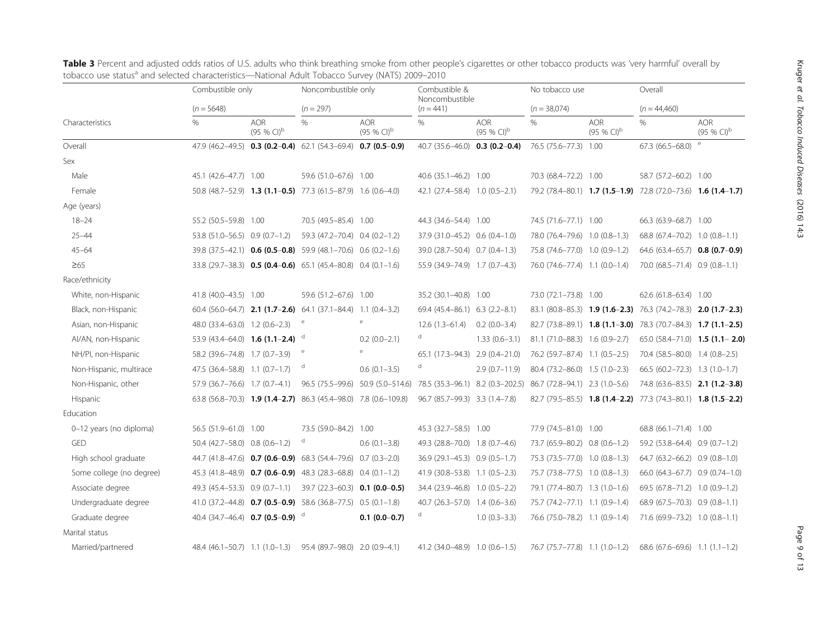|                          | Combustible only                                   |                               | Noncombustible only                                                                     |                               | Combustible &<br>Noncombustible            |                                    | No tobacco use                 |                               | Overall                                                                       |                                      |
|--------------------------|----------------------------------------------------|-------------------------------|-----------------------------------------------------------------------------------------|-------------------------------|--------------------------------------------|------------------------------------|--------------------------------|-------------------------------|-------------------------------------------------------------------------------|--------------------------------------|
|                          | $(n = 5648)$                                       |                               | $(n = 297)$                                                                             |                               | $(n = 441)$                                |                                    | $(n = 38,074)$                 |                               | $(n = 44,460)$                                                                |                                      |
| Characteristics          | $\%$                                               | <b>AOR</b><br>$(95 % CI)^{b}$ | $\%$                                                                                    | <b>AOR</b><br>$(95 % CI)^{b}$ | $\%$                                       | <b>AOR</b><br>(95 % Cl) $^{\rm b}$ | %                              | <b>AOR</b><br>$(95 % CI)^{b}$ | $\%$                                                                          | <b>AOR</b><br>(95 % C1) <sup>b</sup> |
| Overall                  | 47.9 (46.2-49.5)                                   |                               | <b>0.3 (0.2-0.4)</b> 62.1 (54.3-69.4) <b>0.7 (0.5-0.9)</b>                              |                               | 40.7 $(35.6 - 46.0)$ 0.3 $(0.2 - 0.4)$     |                                    | 76.5 (75.6-77.3) 1.00          |                               | $67.3(66.5 - 68.0)$                                                           |                                      |
| Sex                      |                                                    |                               |                                                                                         |                               |                                            |                                    |                                |                               |                                                                               |                                      |
| Male                     | 45.1 (42.6-47.7) 1.00                              |                               | 59.6 (51.0-67.6) 1.00                                                                   |                               | 40.6 (35.1-46.2) 1.00                      |                                    | 70.3 (68.4-72.2) 1.00          |                               | 58.7 (57.2-60.2) 1.00                                                         |                                      |
| Female                   |                                                    |                               | 50.8 $(48.7-52.9)$ <b>1.3 <math>(1.1-0.5)</math></b> 77.3 $(61.5-87.9)$ 1.6 $(0.6-4.0)$ |                               | 42.1 (27.4–58.4) 1.0 (0.5–2.1)             |                                    |                                |                               | $79.2$ (78.4–80.1) <b>1.7 (1.5–1.9)</b> 72.8 (72.0–73.6) <b>1.6 (1.4–1.7)</b> |                                      |
| Age (years)              |                                                    |                               |                                                                                         |                               |                                            |                                    |                                |                               |                                                                               |                                      |
| $18 - 24$                | 55.2 (50.5-59.8) 1.00                              |                               | 70.5 (49.5-85.4) 1.00                                                                   |                               | 44.3 (34.6-54.4) 1.00                      |                                    | 74.5 (71.6-77.1) 1.00          |                               | 66.3 (63.9-68.7) 1.00                                                         |                                      |
| $25 - 44$                | $53.8$ (51.0-56.5) 0.9 (0.7-1.2)                   |                               | 59.3 (47.2-70.4) 0.4 (0.2-1.2)                                                          |                               | 37.9 (31.0-45.2) 0.6 (0.4-1.0)             |                                    | 78.0 (76.4-79.6) 1.0 (0.8-1.3) |                               | $68.8$ $(67.4 - 70.2)$ 1.0 $(0.8 - 1.1)$                                      |                                      |
| $45 - 64$                |                                                    |                               | 39.8 (37.5-42.1) 0.6 (0.5-0.8) 59.9 (48.1-70.6) 0.6 (0.2-1.6)                           |                               | 39.0 (28.7-50.4) 0.7 (0.4-1.3)             |                                    | 75.8 (74.6-77.0) 1.0 (0.9-1.2) |                               | $64.6$ (63.4–65.7) <b>0.8 (0.7–0.9)</b>                                       |                                      |
| $\geq 65$                |                                                    |                               | 33.8 $(29.7-38.3)$ <b>0.5 <math>(0.4-0.6)</math></b> 65.1 $(45.4-80.8)$ 0.4 $(0.1-1.6)$ |                               | 55.9 (34.9-74.9) 1.7 (0.7-4.3)             |                                    | 76.0 (74.6-77.4) 1.1 (0.0-1.4) |                               | 70.0 (68.5-71.4) 0.9 (0.8-1.1)                                                |                                      |
| Race/ethnicity           |                                                    |                               |                                                                                         |                               |                                            |                                    |                                |                               |                                                                               |                                      |
| White, non-Hispanic      | 41.8 (40.0-43.5) 1.00                              |                               | 59.6 (51.2-67.6) 1.00                                                                   |                               | 35.2 (30.1-40.8) 1.00                      |                                    | 73.0 (72.1-73.8) 1.00          |                               | 62.6 (61.8-63.4) 1.00                                                         |                                      |
| Black, non-Hispanic      |                                                    |                               | $60.4$ (56.0–64.7) <b>2.1 (1.7–2.6)</b> 64.1 (37.1–84.4) 1.1 (0.4–3.2)                  |                               | $69.4$ $(45.4 - 86.1)$ $6.3$ $(2.2 - 8.1)$ |                                    |                                |                               | $83.1$ (80.8–85.3) <b>1.9 (1.6–2.3)</b> 76.3 (74.2–78.3) <b>2.0 (1.7–2.3)</b> |                                      |
| Asian, non-Hispanic      | 48.0 (33.4–63.0) 1.2 (0.6–2.3)                     |                               | $\epsilon$                                                                              | $\rm _e$                      | $12.6(1.3-61.4)$                           | $0.2(0.0-3.4)$                     |                                |                               | 82.7 (73.8-89.1) 1.8 (1.1-3.0) 78.3 (70.7-84.3) 1.7 (1.1-2.5)                 |                                      |
| Al/AN, non-Hispanic      | 53.9 $(43.4 - 64.0)$ <b>1.6 (1.1-2.4)</b>          |                               |                                                                                         | $0.2(0.0-2.1)$                | d                                          | $1.33(0.6-3.1)$                    | 81.1 (71.0-88.3) 1.6 (0.9-2.7) |                               | $65.0$ $(58.4 - 71.0)$ <b>1.5 (1.1 - 2.0)</b>                                 |                                      |
| NH/Pl, non-Hispanic      | 58.2 (39.6-74.8) 1.7 (0.7-3.9)                     |                               | $\epsilon$                                                                              | e                             | 65.1 (17.3-94.3) 2.9 (0.4-21.0)            |                                    | 76.2 (59.7-87.4) 1.1 (0.5-2.5) |                               | 70.4 (58.5-80.0) 1.4 (0.8-2.5)                                                |                                      |
| Non-Hispanic, multirace  | 47.5 (36.4-58.8) 1.1 (0.7-1.7)                     |                               | d                                                                                       | $0.6(0.1-3.5)$                | d                                          | $2.9(0.7 - 11.9)$                  | $80.4(73.2-86.0)1.5(1.0-2.3)$  |                               | $66.5$ $(60.2 - 72.3)$ 1.3 $(1.0 - 1.7)$                                      |                                      |
| Non-Hispanic, other      | 57.9 (36.7-76.6) 1.7 (0.7-4.1)                     |                               | $96.5(75.5-99.6)$                                                                       | 50.9 (5.0-514.6)              | 78.5 (35.3-96.1) 8.2 (0.3-202.5)           |                                    | 86.7 (72.8-94.1) 2.3 (1.0-5.6) |                               | $74.8(63.6-83.5)$ <b>2.1 (1.2-3.8)</b>                                        |                                      |
| Hispanic                 |                                                    |                               | 63.8 (56.8-70.3) 1.9 (1.4-2.7) 86.3 (45.4-98.0) 7.8 (0.6-109.8)                         |                               | 96.7 (85.7-99.3) 3.3 (1.4-7.8)             |                                    |                                |                               | 82.7 (79.5-85.5) 1.8 (1.4-2.2) 77.3 (74.3-80.1) 1.8 (1.5-2.2)                 |                                      |
| Education                |                                                    |                               |                                                                                         |                               |                                            |                                    |                                |                               |                                                                               |                                      |
| 0-12 years (no diploma)  | 56.5 (51.9 - 61.0)                                 | 1.00                          | 73.5 (59.0-84.2) 1.00                                                                   |                               | 45.3 (32.7-58.5) 1.00                      |                                    | 77.9 (74.5-81.0) 1.00          |                               | 68.8 (66.1-71.4) 1.00                                                         |                                      |
| <b>GED</b>               | $50.4$ (42.7-58.0) 0.8 (0.6-1.2)                   |                               | d                                                                                       | $0.6(0.1-3.8)$                | 49.3 (28.8-70.0) 1.8 (0.7-4.6)             |                                    | 73.7 (65.9-80.2) 0.8 (0.6-1.2) |                               | 59.2 (53.8-64.4) 0.9 (0.7-1.2)                                                |                                      |
| High school graduate     |                                                    |                               | 44.7 $(41.8-47.6)$ <b>0.7 <math>(0.6-0.9)</math></b> 68.3 $(54.4-79.6)$ 0.7 $(0.3-2.0)$ |                               | 36.9 (29.1-45.3) 0.9 (0.5-1.7)             |                                    | 75.3 (73.5-77.0) 1.0 (0.8-1.3) |                               | $64.7(63.2 - 66.2)$ 0.9 $(0.8 - 1.0)$                                         |                                      |
| Some college (no degree) |                                                    |                               | 45.3 (41.8-48.9) <b>0.7 (0.6-0.9)</b> 48.3 (28.3-68.8) 0.4 (0.1-1.2)                    |                               | 41.9 (30.8-53.8) 1.1 (0.5-2.3)             |                                    | 75.7 (73.8–77.5) 1.0 (0.8–1.3) |                               | 66.0 (64.3-67.7) 0.9 (0.74-1.0)                                               |                                      |
| Associate degree         | $49.3(45.4-53.3)0.9(0.7-1.1)$                      |                               | 39.7 (22.3-60.3) 0.1 (0.0-0.5)                                                          |                               | 34.4 (23.9-46.8) 1.0 (0.5-2.2)             |                                    | 79.1 (77.4-80.7) 1.3 (1.0-1.6) |                               | 69.5 (67.8-71.2) 1.0 (0.9-1.2)                                                |                                      |
| Undergraduate degree     |                                                    |                               | 41.0 $(37.2-44.8)$ <b>0.7 <math>(0.5-0.9)</math></b> 58.6 $(36.8-77.5)$ 0.5 $(0.1-1.8)$ |                               | 40.7 (26.3-57.0) 1.4 (0.6-3.6)             |                                    | 75.7 (74.2-77.1) 1.1 (0.9-1.4) |                               | $68.9(67.5-70.3)$ 0.9 $(0.8-1.1)$                                             |                                      |
| Graduate degree          | 40.4 (34.7-46.4) <b>0.7 (0.5-0.9)</b> <sup>d</sup> |                               |                                                                                         | $0.1(0.0-0.7)$                | d                                          | $1.0(0.3 - 3.3)$                   | 76.6 (75.0-78.2) 1.1 (0.9-1.4) |                               | $71.6(69.9-73.2)$ $1.0(0.8-1.1)$                                              |                                      |
| Marital status           |                                                    |                               |                                                                                         |                               |                                            |                                    |                                |                               |                                                                               |                                      |
| Married/partnered        | $48.4(46.1-50.7)$ 1.1 $(1.0-1.3)$                  |                               | 95.4 (89.7-98.0) 2.0 (0.9-4.1)                                                          |                               | 41.2 (34.0-48.9) 1.0 (0.6-1.5)             |                                    | 76.7 (75.7–77.8) 1.1 (1.0–1.2) |                               | $68.6$ $(67.6 - 69.6)$ 1.1 $(1.1 - 1.2)$                                      |                                      |

<span id="page-8-0"></span>**Table 3** Percent and adjusted odds ratios of U.S. adults who think breathing smoke from other people's cigarettes or other tobacco products was 'very harmful' overall by tobacco use status<sup>a</sup> and selected characteristics—National Adult Tobacco Survey (NATS) 2009–2010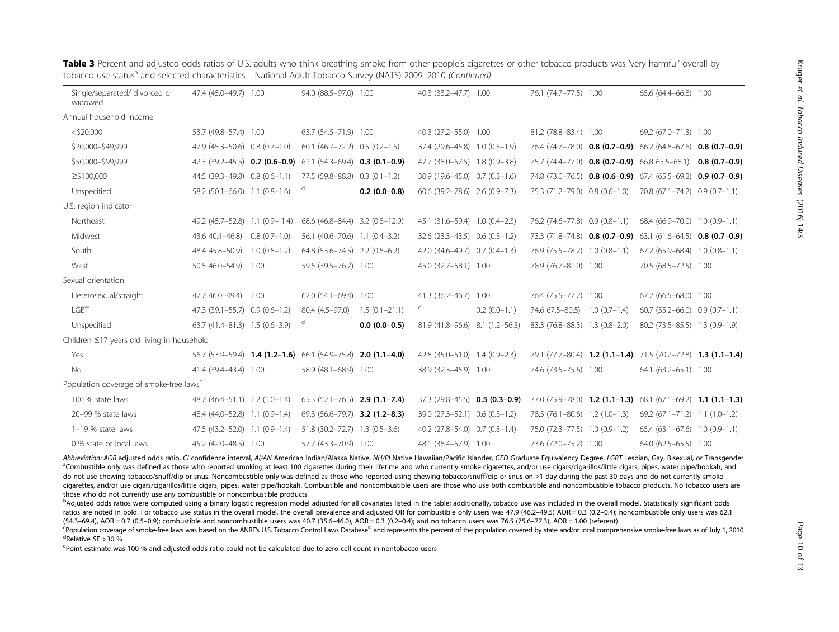| Single/separated/ divorced or<br>widowed            | 47.4 (45.0-49.7) 1.00                      |                | 94.0 (88.5-97.0) 1.00                                                                                     |                   | 40.3 (33.2-47.7) 1.00           |                | 76.1 (74.7-77.5) 1.00                 |                | 65.6 (64.4-66.8) 1.00                                                                                     |  |
|-----------------------------------------------------|--------------------------------------------|----------------|-----------------------------------------------------------------------------------------------------------|-------------------|---------------------------------|----------------|---------------------------------------|----------------|-----------------------------------------------------------------------------------------------------------|--|
| Annual household income                             |                                            |                |                                                                                                           |                   |                                 |                |                                       |                |                                                                                                           |  |
| $<$ \$20,000                                        | 53.7 (49.8-57.4) 1.00                      |                | 63.7 (54.5-71.9) 1.00                                                                                     |                   | 40.3 (27.2-55.0) 1.00           |                | 81.2 (78.8-83.4) 1.00                 |                | 69.2 (67.0-71.3) 1.00                                                                                     |  |
| \$20,000-\$49,999                                   | 47.9 $(45.3 - 50.6)$ 0.8 $(0.7 - 1.0)$     |                | $60.1$ (46.7-72.2) $0.5$ (0.2-1.5)                                                                        |                   | 37.4 (29.6-45.8) 1.0 (0.5-1.9)  |                |                                       |                | 76.4 $(74.7-78.0)$ 0.8 $(0.7-0.9)$ 66.2 $(64.8-67.6)$ 0.8 $(0.7-0.9)$                                     |  |
| \$50,000-\$99,999                                   |                                            |                | 42.3 $(39.2-45.5)$ <b>0.7 <math>(0.6-0.9)</math></b> 62.1 $(54.3-69.4)$ <b>0.3 <math>(0.1-0.9)</math></b> |                   | 47.7 (38.0-57.5) 1.8 (0.9-3.8)  |                |                                       |                | 75.7 $(74.4-77.0)$ 0.8 $(0.7-0.9)$ 66.8 65.5-68.1) 0.8 $(0.7-0.9)$                                        |  |
| $\geq$ \$100.000                                    | 44.5 (39.3-49.8) 0.8 (0.6-1.1)             |                | 77.5 (59.8-88.8) 0.3 (0.1-1.2)                                                                            |                   | 30.9 (19.6-45.0) 0.7 (0.3-1.6)  |                |                                       |                | 74.8 (73.0–76.5) 0.8 (0.6–0.9) 67.4 (65.5–69.2) 0.9 (0.7–0.9)                                             |  |
| Unspecified                                         | 58.2 (50.1-66.0) 1.1 (0.8-1.6)             |                | $\mathsf{q}$                                                                                              | $0.2(0.0-0.8)$    | 60.6 (39.2-78.6) 2.6 (0.9-7.3)  |                | 75.3 (71.2-79.0) 0.8 (0.6-1.0)        |                | $70.8(67.1-74.2)$ 0.9 $(0.7-1.1)$                                                                         |  |
| U.S. region indicator                               |                                            |                |                                                                                                           |                   |                                 |                |                                       |                |                                                                                                           |  |
| Northeast                                           | 49.2 (45.7-52.8) 1.1 (0.9-1.4)             |                | 68.6 (46.8-84.4) 3.2 (0.8-12.9)                                                                           |                   | 45.1 (31.6-59.4) 1.0 (0.4-2.3)  |                | 76.2 (74.6-77.8) 0.9 (0.8-1.1)        |                | $68.4(66.9-70.0)$ 1.0 $(0.9-1.1)$                                                                         |  |
| Midwest                                             | 43.6 40.4 - 46.8)                          | $0.8(0.7-1.0)$ | 56.1 (40.6-70.6) 1.1 (0.4-3.2)                                                                            |                   | 32.6 (23.3-43.5) 0.6 (0.3-1.2)  |                |                                       |                | 73.3 $(71.8-74.8)$ 0.8 $(0.7-0.9)$ 63.1 $(61.6-64.5)$ 0.8 $(0.7-0.9)$                                     |  |
| South                                               | 48.4 45.8-50.9)                            | $1.0(0.8-1.2)$ | $64.8$ $(53.6 - 74.5)$ 2.2 $(0.8 - 6.2)$                                                                  |                   | 42.0 (34.6-49.7) 0.7 (0.4-1.3)  |                | 76.9 (75.5-78.2) 1.0 (0.8-1.1)        |                | $67.2$ $(65.9 - 68.4)$ 1.0 $(0.8 - 1.1)$                                                                  |  |
| West                                                | 50.5 46.0-54.9)                            | 1.00           | 59.5 (39.5-76.7) 1.00                                                                                     |                   | 45.0 (32.7-58.1) 1.00           |                | 78.9 (76.7-81.0) 1.00                 |                | 70.5 (68.5-72.5) 1.00                                                                                     |  |
| Sexual orientation                                  |                                            |                |                                                                                                           |                   |                                 |                |                                       |                |                                                                                                           |  |
| Heterosexual/straight                               | 47.7 46.0-49.4)                            | 1.00           | 62.0 (54.1-69.4) 1.00                                                                                     |                   | 41.3 (36.2-46.7) 1.00           |                | 76.4 (75.5-77.2) 1.00                 |                | 67.2 (66.5-68.0) 1.00                                                                                     |  |
| <b>LGBT</b>                                         | 47.3 (39.1-55.7) 0.9 (0.6-1.2)             |                | 80.4 (4.5-97.0)                                                                                           | $1.5(0.1 - 21.1)$ | d                               | $0.2(0.0-1.1)$ | 74.6 67.5-80.5)                       | $1.0(0.7-1.4)$ | $60.7(55.2 - 66.0)$ $0.9(0.7 - 1.1)$                                                                      |  |
| Unspecified                                         | $63.7$ $(41.4 - 81.3)$ $1.5$ $(0.6 - 3.9)$ |                | d                                                                                                         | $0.0(0.0-0.5)$    | 81.9 (41.8-96.6) 8.1 (1.2-56.3) |                | 83.3 (76.8-88.3) 1.3 (0.8-2.0)        |                | 80.2 (73.5-85.5) 1.3 (0.9-1.9)                                                                            |  |
| Children ≤17 years old living in household          |                                            |                |                                                                                                           |                   |                                 |                |                                       |                |                                                                                                           |  |
| Yes                                                 |                                            |                | 56.7 $(53.9-59.4)$ <b>1.4 <math>(1.2-1.6)</math></b> 66.1 $(54.9-75.8)$ <b>2.0 <math>(1.1-4.0)</math></b> |                   | 42.8 (35.0-51.0) 1.4 (0.9-2.3)  |                |                                       |                | 79.1 $(77.7-80.4)$ 1.2 $(1.1-1.4)$ 71.5 $(70.2-72.8)$ 1.3 $(1.1-1.4)$                                     |  |
| <b>No</b>                                           | 41.4 (39.4-43.4) 1.00                      |                | 58.9 (48.1-68.9) 1.00                                                                                     |                   | 38.9 (32.3-45.9) 1.00           |                | 74.6 (73.5-75.6) 1.00                 |                | 64.1 (63.2-65.1) 1.00                                                                                     |  |
| Population coverage of smoke-free laws <sup>c</sup> |                                            |                |                                                                                                           |                   |                                 |                |                                       |                |                                                                                                           |  |
| 100 % state laws                                    | 48.7 (46.4-51.1) 1.2 (1.0-1.4)             |                | $65.3$ (52.1-76.5) <b>2.9 (1.1-7.4)</b>                                                                   |                   | $37.3(29.8-45.5)$ 0.5 (0.3-0.9) |                |                                       |                | 77.0 $(75.9-78.0)$ <b>1.2 <math>(1.1-1.3)</math></b> 68.1 $(67.1-69.2)$ <b>1.1 <math>(1.1-1.3)</math></b> |  |
| 20-99 % state laws                                  | 48.4 (44.0-52.8) 1.1 (0.9-1.4)             |                | $69.3$ (56.6–79.7) <b>3.2 (1.2–8.3)</b>                                                                   |                   | 39.0 (27.3-52.1) 0.6 (0.3-1.2)  |                | $78.5(76.1 - 80.6)$ 1.2 $(1.0 - 1.3)$ |                | $69.2$ $(67.1 - 71.2)$ 1.1 $(1.0 - 1.2)$                                                                  |  |
| 1-19 % state laws                                   | 47.5 (43.2-52.0) 1.1 (0.9-1.4)             |                | $51.8$ (30.2-72.7) 1.3 (0.5-3.6)                                                                          |                   | 40.2 (27.8-54.0) 0.7 (0.3-1.4)  |                | 75.0 (72.3-77.5) 1.0 (0.9-1.2)        |                | $65.4(63.1-67.6)$ 1.0 $(0.9-1.1)$                                                                         |  |
| 0 % state or local laws                             | 45.2 (42.0-48.5) 1.00                      |                | 57.7 (43.3-70.9) 1.00                                                                                     |                   | 48.1 (38.4-57.9) 1.00           |                | 73.6 (72.0-75.2) 1.00                 |                | 64.0 (62.5-65.5) 1.00                                                                                     |  |

Table 3 Percent and adjusted odds ratios of U.S. adults who think breathing smoke from other people's cigarettes or other tobacco products was 'very harmful' overall by tobacco use status<sup>a</sup> and selected characteristics—National Adult Tobacco Survey (NATS) 2009–2010 (Continued)

Abbreviation: AOR adjusted odds ratio, CI confidence interval, AI/AN American Indian/Alaska Native, NH/PI Native Hawaiian/Pacific Islander, GED Graduate Equivalency Degree, LGBT Lesbian, Gay, Bisexual, or Transgender <sup>a</sup>Combustible only was defined as those who reported smoking at least 100 cigarettes during their lifetime and who currently smoke cigarettes, and/or use cigars/cigarillos/little cigars, pipes, water pipe/hookah, and do not use chewing tobacco/snuff/dip or snus. Noncombustible only was defined as those who reported using chewing tobacco/snuff/dip or snus on ≥1 day during the past 30 days and do not currently smoke cigarettes, and/or use cigars/cigarillos/little cigars, pipes, water pipe/hookah. Combustible and noncombustible users are those who use both combustible and noncombustible tobacco products. No tobacco users are those who do not currently use any combustible or noncombustible products

b<br>Adjusted odds ratios were computed using a binary logistic regression model adjusted for all covariates listed in the table; additionally, tobacco use was included in the overall model. Statistically significant odds ratios are noted in bold. For tobacco use status in the overall model, the overall prevalence and adjusted OR for combustible only users was 47.9 (46.2–49.5) AOR = 0.3 (0.2–0.4); noncombustible only users was 62.1 (54.3–69.4), AOR = 0.7 (0.5–0.9); combustible and noncombustible users was 40.7 (35.6–46.0), AOR = 0.3 (0.2–0.4); and no tobacco users was 76.5 (75.6–77.3), AOR = 1.00 (referent) <sup>c</sup>

Fopulation coverage of smoke-free laws was based on the ANRF's U.S. Tobacco Control Laws Database<sup>®</sup> and represents the percent of the population covered by state and/or local comprehensive smoke-free laws as of July 1, 20  $R$ elative SF >30 %

<sup>e</sup>Point estimate was 100 % and adjusted odds ratio could not be calculated due to zero cell count in nontobacco users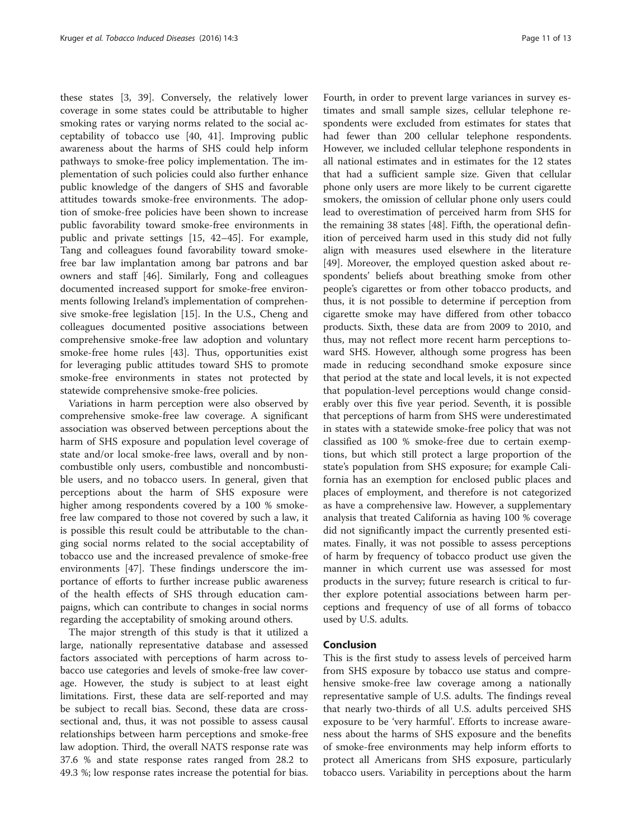these states [[3,](#page-11-0) [39](#page-12-0)]. Conversely, the relatively lower coverage in some states could be attributable to higher smoking rates or varying norms related to the social acceptability of tobacco use [\[40](#page-12-0), [41\]](#page-12-0). Improving public awareness about the harms of SHS could help inform pathways to smoke-free policy implementation. The implementation of such policies could also further enhance public knowledge of the dangers of SHS and favorable attitudes towards smoke-free environments. The adoption of smoke-free policies have been shown to increase public favorability toward smoke-free environments in public and private settings [\[15,](#page-11-0) [42](#page-12-0)–[45](#page-12-0)]. For example, Tang and colleagues found favorability toward smokefree bar law implantation among bar patrons and bar owners and staff [[46\]](#page-12-0). Similarly, Fong and colleagues documented increased support for smoke-free environments following Ireland's implementation of comprehensive smoke-free legislation [[15](#page-11-0)]. In the U.S., Cheng and colleagues documented positive associations between comprehensive smoke-free law adoption and voluntary smoke-free home rules [\[43](#page-12-0)]. Thus, opportunities exist for leveraging public attitudes toward SHS to promote smoke-free environments in states not protected by statewide comprehensive smoke-free policies.

Variations in harm perception were also observed by comprehensive smoke-free law coverage. A significant association was observed between perceptions about the harm of SHS exposure and population level coverage of state and/or local smoke-free laws, overall and by noncombustible only users, combustible and noncombustible users, and no tobacco users. In general, given that perceptions about the harm of SHS exposure were higher among respondents covered by a 100 % smokefree law compared to those not covered by such a law, it is possible this result could be attributable to the changing social norms related to the social acceptability of tobacco use and the increased prevalence of smoke-free environments [[47\]](#page-12-0). These findings underscore the importance of efforts to further increase public awareness of the health effects of SHS through education campaigns, which can contribute to changes in social norms regarding the acceptability of smoking around others.

The major strength of this study is that it utilized a large, nationally representative database and assessed factors associated with perceptions of harm across tobacco use categories and levels of smoke-free law coverage. However, the study is subject to at least eight limitations. First, these data are self-reported and may be subject to recall bias. Second, these data are crosssectional and, thus, it was not possible to assess causal relationships between harm perceptions and smoke-free law adoption. Third, the overall NATS response rate was 37.6 % and state response rates ranged from 28.2 to 49.3 %; low response rates increase the potential for bias.

Fourth, in order to prevent large variances in survey estimates and small sample sizes, cellular telephone respondents were excluded from estimates for states that had fewer than 200 cellular telephone respondents. However, we included cellular telephone respondents in all national estimates and in estimates for the 12 states that had a sufficient sample size. Given that cellular phone only users are more likely to be current cigarette smokers, the omission of cellular phone only users could lead to overestimation of perceived harm from SHS for the remaining 38 states [[48\]](#page-12-0). Fifth, the operational definition of perceived harm used in this study did not fully align with measures used elsewhere in the literature [[49\]](#page-12-0). Moreover, the employed question asked about respondents' beliefs about breathing smoke from other people's cigarettes or from other tobacco products, and thus, it is not possible to determine if perception from cigarette smoke may have differed from other tobacco products. Sixth, these data are from 2009 to 2010, and thus, may not reflect more recent harm perceptions toward SHS. However, although some progress has been made in reducing secondhand smoke exposure since that period at the state and local levels, it is not expected that population-level perceptions would change considerably over this five year period. Seventh, it is possible that perceptions of harm from SHS were underestimated in states with a statewide smoke-free policy that was not classified as 100 % smoke-free due to certain exemptions, but which still protect a large proportion of the state's population from SHS exposure; for example California has an exemption for enclosed public places and places of employment, and therefore is not categorized as have a comprehensive law. However, a supplementary analysis that treated California as having 100 % coverage did not significantly impact the currently presented estimates. Finally, it was not possible to assess perceptions of harm by frequency of tobacco product use given the manner in which current use was assessed for most products in the survey; future research is critical to further explore potential associations between harm perceptions and frequency of use of all forms of tobacco used by U.S. adults.

## Conclusion

This is the first study to assess levels of perceived harm from SHS exposure by tobacco use status and comprehensive smoke-free law coverage among a nationally representative sample of U.S. adults. The findings reveal that nearly two-thirds of all U.S. adults perceived SHS exposure to be 'very harmful'. Efforts to increase awareness about the harms of SHS exposure and the benefits of smoke-free environments may help inform efforts to protect all Americans from SHS exposure, particularly tobacco users. Variability in perceptions about the harm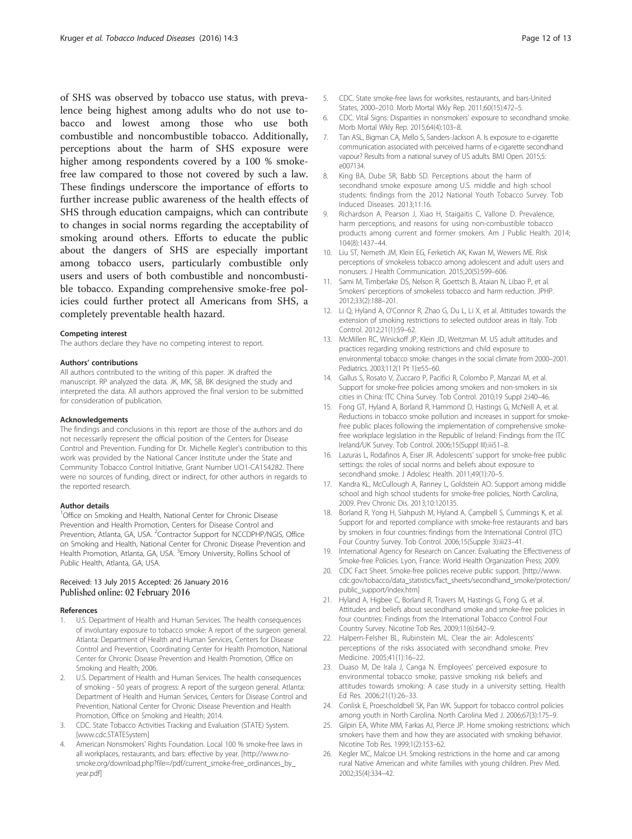<span id="page-11-0"></span>of SHS was observed by tobacco use status, with prevalence being highest among adults who do not use tobacco and lowest among those who use both combustible and noncombustible tobacco. Additionally, perceptions about the harm of SHS exposure were higher among respondents covered by a 100 % smokefree law compared to those not covered by such a law. These findings underscore the importance of efforts to further increase public awareness of the health effects of SHS through education campaigns, which can contribute to changes in social norms regarding the acceptability of smoking around others. Efforts to educate the public about the dangers of SHS are especially important among tobacco users, particularly combustible only users and users of both combustible and noncombustible tobacco. Expanding comprehensive smoke-free policies could further protect all Americans from SHS, a completely preventable health hazard.

#### Competing interest

The authors declare they have no competing interest to report.

#### Authors' contributions

All authors contributed to the writing of this paper. JK drafted the manuscript. RP analyzed the data. JK, MK, SB, BK designed the study and interpreted the data. All authors approved the final version to be submitted for consideration of publication.

#### Acknowledgements

The findings and conclusions in this report are those of the authors and do not necessarily represent the official position of the Centers for Disease Control and Prevention. Funding for Dr. Michelle Kegler's contribution to this work was provided by the National Cancer Institute under the State and Community Tobacco Control Initiative, Grant Number UO1-CA154282. There were no sources of funding, direct or indirect, for other authors in regards to the reported research.

#### Author details

<sup>1</sup>Office on Smoking and Health, National Center for Chronic Disease Prevention and Health Promotion, Centers for Disease Control and Prevention, Atlanta, GA, USA. <sup>2</sup> Contractor Support for NCCDPHP/NGIS, Office on Smoking and Health, National Center for Chronic Disease Prevention and Health Promotion, Atlanta, GA, USA. <sup>3</sup>Emory University, Rollins School of Public Health, Atlanta, GA, USA.

### Received: 13 July 2015 Accepted: 26 January 2016 Published online: 02 February 2016

#### References

- U.S. Department of Health and Human Services. The health consequences of involuntary exposure to tobacco smoke: A report of the surgeon general. Atlanta: Department of Health and Human Services, Centers for Disease Control and Prevention, Coordinating Center for Health Promotion, National Center for Chronic Disease Prevention and Health Promotion, Office on Smoking and Health; 2006.
- 2. U.S. Department of Health and Human Services. The health consequences of smoking - 50 years of progress: A report of the surgeon general. Atlanta: Department of Health and Human Services, Centers for Disease Control and Prevention, National Center for Chronic Disease Prevention and Health Promotion, Office on Smoking and Health; 2014.
- 3. CDC. State Tobacco Activities Tracking and Evaluation (STATE) System. [[www.cdc.STATESystem\]](http://www.cdc.STATESystem)
- 4. American Nonsmokers' Rights Foundation. Local 100 % smoke-free laws in all workplaces, restaurants, and bars: effective by year. [\[http://www.no](http://www.no-smoke.org/download.php?file=/pdf/current_smoke-free_ordinances_by_year.pdf)[smoke.org/download.php?file=/pdf/current\\_smoke-free\\_ordinances\\_by\\_](http://www.no-smoke.org/download.php?file=/pdf/current_smoke-free_ordinances_by_year.pdf) [year.pdf](http://www.no-smoke.org/download.php?file=/pdf/current_smoke-free_ordinances_by_year.pdf)]
- 5. CDC. State smoke-free laws for worksites, restaurants, and bars-United States, 2000–2010. Morb Mortal Wkly Rep. 2011;60(15):472–5.
- 6. CDC. Vital Signs: Disparities in nonsmokers' exposure to secondhand smoke. Morb Mortal Wkly Rep. 2015;64(4):103–8.
- 7. Tan ASL, Bigman CA, Mello S, Sanders-Jackson A. Is exposure to e-cigarette communication associated with perceived harms of e-cigarette secondhand vapour? Results from a national survey of US adults. BMJ Open. 2015;5:  $e^{0.07134}$
- 8. King BA, Dube SR, Babb SD. Perceptions about the harm of secondhand smoke exposure among U.S. middle and high school students: findings from the 2012 National Youth Tobacco Survey. Tob Induced Diseases. 2013;11:16.
- 9. Richardson A, Pearson J, Xiao H, Staigaitis C, Vallone D. Prevalence, harm perceptions, and reasons for using non-combustible tobacco products among current and former smokers. Am J Public Health. 2014; 104(8):1437–44.
- 10. Liu ST, Nemeth JM, Klein EG, Ferketich AK, Kwan M, Wewers ME. Risk perceptions of smokeless tobacco among adolescent and adult users and nonusers. J Health Communication. 2015;20(5):599–606.
- 11. Sami M, Timberlake DS, Nelson R, Goettsch B, Ataian N, Libao P, et al. Smokers' perceptions of smokeless tobacco and harm reduction. JPHP. 2012;33(2):188–201.
- 12. Li Q, Hyland A, O'Connor R, Zhao G, Du L, Li X, et al. Attitudes towards the extension of smoking restrictions to selected outdoor areas in Italy. Tob Control. 2012;21(1):59–62.
- 13. McMillen RC, Winickoff JP, Klein JD, Weitzman M. US adult attitudes and practices regarding smoking restrictions and child exposure to environmental tobacco smoke: changes in the social climate from 2000–2001. Pediatrics. 2003;112(1 Pt 1):e55–60.
- 14. Gallus S, Rosato V, Zuccaro P, Pacifici R, Colombo P, Manzari M, et al. Support for smoke-free policies among smokers and non-smokers in six cities in China: ITC China Survey. Tob Control. 2010;19 Suppl 2:i40–46.
- 15. Fong GT, Hyland A, Borland R, Hammond D, Hastings G, McNeill A, et al. Reductions in tobacco smoke pollution and increases in support for smokefree public places following the implementation of comprehensive smokefree workplace legislation in the Republic of Ireland: Findings from the ITC Ireland/UK Survey. Tob Control. 2006;15(Suppl III):iii51–8.
- 16. Lazuras L, Rodafinos A, Eiser JR. Adolescents' support for smoke-free public settings: the roles of social norms and beliefs about exposure to secondhand smoke. J Adolesc Health. 2011;49(1):70–5.
- 17. Kandra KL, McCullough A, Ranney L, Goldstein AO. Support among middle school and high school students for smoke-free policies, North Carolina, 2009. Prev Chronic Dis. 2013;10:120135.
- 18. Borland R, Yong H, Siahpush M, Hyland A, Campbell S, Cummings K, et al. Support for and reported compliance with smoke-free restaurants and bars by smokers in four countries: findings from the International Control (ITC) Four Country Survey. Tob Control. 2006;15(Supple 3):iii23–41.
- 19. International Agency for Research on Cancer. Evaluating the Effectiveness of Smoke-free Policies. Lyon, France: World Health Organization Press; 2009.
- 20. CDC Fact Sheet. Smoke-free policies receive public support. [\[http://www.](http://www.cdc.gov/tobacco/data_statistics/fact_sheets/secondhand_smoke/protection/public_support/index.htm) [cdc.gov/tobacco/data\\_statistics/fact\\_sheets/secondhand\\_smoke/protection/](http://www.cdc.gov/tobacco/data_statistics/fact_sheets/secondhand_smoke/protection/public_support/index.htm) [public\\_support/index.htm\]](http://www.cdc.gov/tobacco/data_statistics/fact_sheets/secondhand_smoke/protection/public_support/index.htm)
- 21. Hyland A, Higbee C, Borland R, Travers M, Hastings G, Fong G, et al. Attitudes and beliefs about secondhand smoke and smoke-free policies in four countries: Findings from the International Tobacco Control Four Country Survey. Nicotine Tob Res. 2009;11(6):642–9.
- 22. Halpern-Felsher BL, Rubinstein ML. Clear the air: Adolescents' perceptions of the risks associated with secondhand smoke. Prev Medicine. 2005;41(1):16–22.
- 23. Duaso M, De Irala J, Canga N. Employees' perceived exposure to environmental tobacco smoke, passive smoking risk beliefs and attitudes towards smoking: A case study in a university setting. Health Ed Res. 2006;21(1):26–33.
- 24. Conlisk E, Proescholdbell SK, Pan WK. Support for tobacco control policies among youth in North Carolina. North Carolina Med J. 2006;67(3):175–9.
- 25. Gilpin EA, White MM, Farkas AJ, Pierce JP. Home smoking restrictions: which smokers have them and how they are associated with smoking behavior. Nicotine Tob Res. 1999;1(2):153–62.
- 26. Kegler MC, Malcoe LH. Smoking restrictions in the home and car among rural Native American and white families with young children. Prev Med. 2002;35(4):334–42.